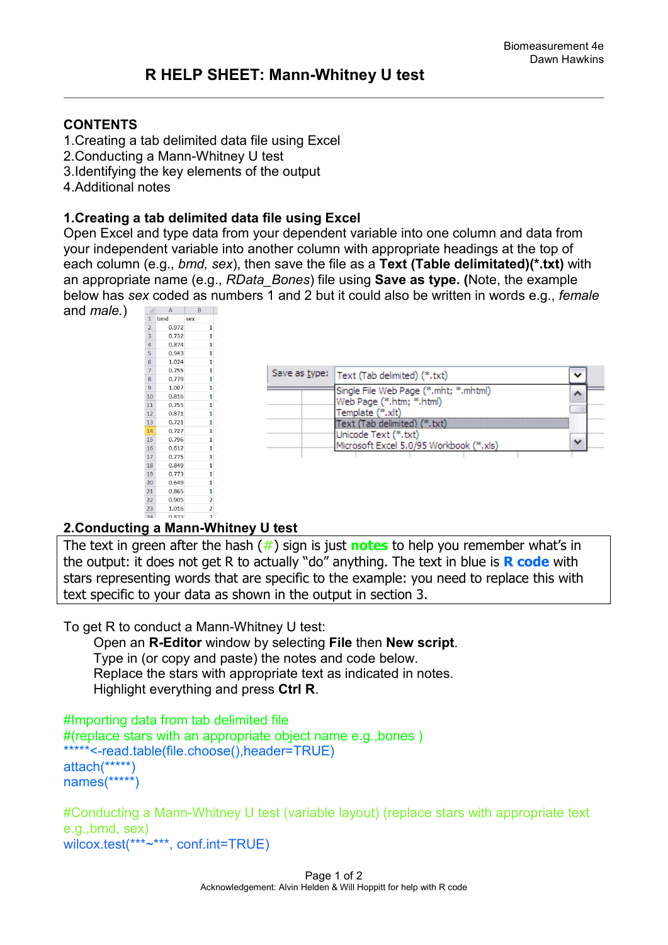### **CONTENTS**

- 1.Creating a tab delimited data file using Excel
- 2.Conducting a Mann-Whitney U test
- 3.Identifying the key elements of the output
- 4.Additional notes

### **1.Creating a tab delimited data file using Excel**

Open Excel and type data from your dependent variable into one column and data from your independent variable into another column with appropriate headings at the top of each column (e.g., *bmd, sex*), then save the file as a **Text (Table delimitated)(\*.txt)** with an appropriate name (e.g., *RData\_Bones*) file using **Save as type. (**Note, the example below has *sex* coded as numbers 1 and 2 but it could also be written in words e.g., *female*



## **2.Conducting a Mann-Whitney U test**

The text in green after the hash (**#**) sign is just **notes** to help you remember what's in the output: it does not get R to actually "do" anything. The text in blue is **R code** with stars representing words that are specific to the example: you need to replace this with text specific to your data as shown in the output in section 3.

To get R to conduct a Mann-Whitney U test:

 Open an **R-Editor** window by selecting **File** then **New script**. Type in (or copy and paste) the notes and code below. Replace the stars with appropriate text as indicated in notes. Highlight everything and press **Ctrl R**.

```
#Importing data from tab delimited file 
#(replace stars with an appropriate object name e.g.,bones )
*****<-read.table(file.choose(),header=TRUE)
attach(*****)
names(*****)
```
#Conducting a Mann-Whitney U test (variable layout) (replace stars with appropriate text e.g.,bmd, sex) wilcox.test(\*\*\*~\*\*\*, conf.int=TRUE)